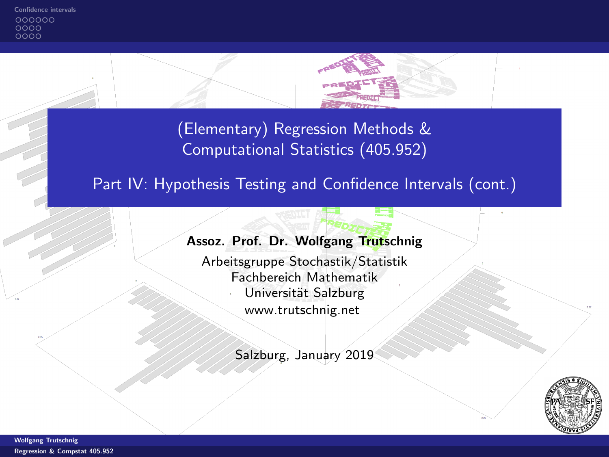<span id="page-0-0"></span>000000  $0000$ oooo



(Elementary) Regression Methods & Computational Statistics (405.952)

# Part IV: Hypothesis Testing and Confidence Intervals (cont.)

# Assoz. Prof. Dr. Wolfgang Trutschnig

Arbeitsgruppe Stochastik/Statistik Fachbereich Mathematik Universität Salzburg [www.trutschnig.net](http://www.trutschnig.net)

Salzburg, January 2019

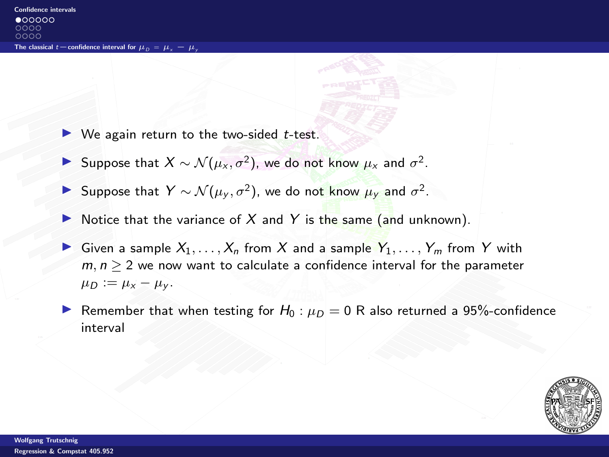- <span id="page-1-0"></span> $\triangleright$  We again return to the two-sided *t*-test.
- Suppose that  $X \sim \mathcal{N}(\mu_X, \sigma^2)$ , we do not know  $\mu_X$  and  $\sigma^2$ .
- Suppose that  $Y \sim \mathcal{N}(\mu_y, \sigma^2)$ , we do not know  $\mu_y$  and  $\sigma^2$ .
- Notice that the variance of  $X$  and  $Y$  is the same (and unknown).
- Given a sample  $X_1, \ldots, X_n$  from X and a sample  $Y_1, \ldots, Y_m$  from Y with  $m, n \geq 2$  we now want to calculate a confidence interval for the parameter  $\mu_D := \mu_X - \mu_Y$ .
- Remember that when testing for  $H_0$ :  $\mu_D = 0$  R also returned a 95%-confidence interval

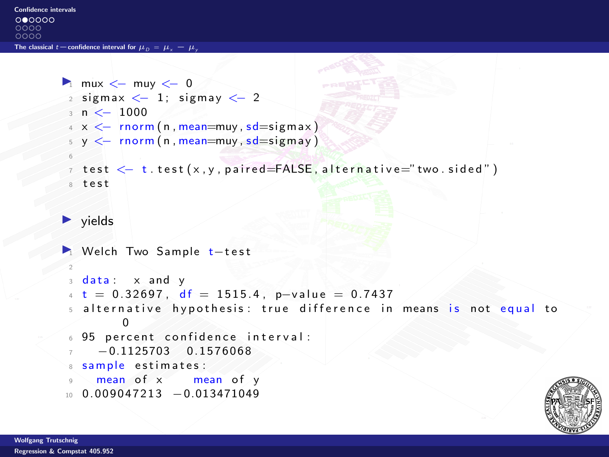$000000$  $0000$  $0000$ 

The classical  $t=$ [confidence interval for](#page-1-0)  $\mu_{\Omega} = \mu_{\Omega} = \mu$ .

```
\blacksquare mux \lt- muy \lt- 0
 2 sigmax \lt-1; sigmay \lt-2\frac{1}{2} n \leq 1000
 4 \times \leftarrow rnorm (n, mean=muy, sd=sigmax)
 5 \, y \leftarrow \, \text{norm}(n, \text{mean} = \text{mu}y, \text{sd} = \text{sigma}y)6
 \tau test \leq t. test (x, y, paired = FALSE, alternative = "two-sided")A = t e t\blacktriangleright vields
■ Welch Two Sample t-test
 2
 3 data: x and y+ t = 0.32697, df = 1515.4, p-value = 0.7437
 5 alternative hypothesis: true difference in means is not equal to
           0
 6 95 percent confidence interval:
      -0.1125703 0.1576068
 8 sample estimates:
      mean of x mean of y10\quad 0.009047213 - 0.013471049
```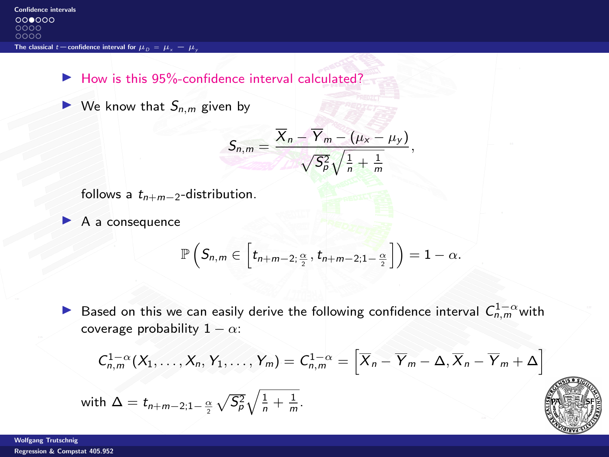$\blacktriangleright$  How is this 95%-confidence interval calculated?

 $\blacktriangleright$  We know that  $S_{n,m}$  given by

$$
S_{n,m}=\frac{\overline{X}_n-\overline{Y}_m-(\mu_x-\mu_y)}{\sqrt{S_p^2}\sqrt{\frac{1}{n}+\frac{1}{m}}},
$$

follows a  $t_{n+m-2}$ -distribution.

A a consequence

$$
\mathbb{P}\left(S_{n,m}\in \left[t_{n+m-2;\frac{\alpha}{2}},t_{n+m-2;1-\frac{\alpha}{2}}\right]\right)=1-\alpha.
$$

▶ Based on this we can easily derive the following confidence interval  $C_{n,m}^{1-\alpha}$  with coverage probability  $1 - \alpha$ :

$$
C_{n,m}^{1-\alpha}(X_1,\ldots,X_n,Y_1,\ldots,Y_m)=C_{n,m}^{1-\alpha}=\left[\overline{X}_n-\overline{Y}_m-\Delta,\overline{X}_n-\overline{Y}_m+\Delta\right]
$$

with 
$$
\Delta = t_{n+m-2,1-\frac{\alpha}{2}} \sqrt{S_p^2} \sqrt{\frac{1}{n} + \frac{1}{m}}
$$
.

Wolfgang Trutschnig [Regression & Compstat 405.952](#page-0-0)

$$
\left(\begin{array}{c}\n\cdot & \cdot \\
\cdot & \cdot \\
\cdot & \cdot\n\end{array}\right)
$$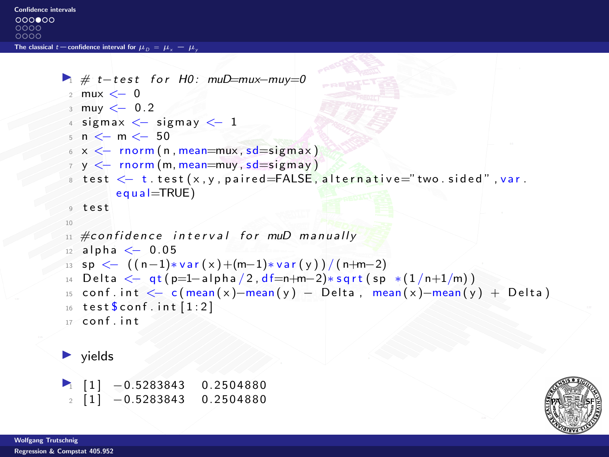```
Confidence intervals
```
 $000000$  $0000$  $0000$ 

The classical  $t=$ [confidence interval for](#page-1-0)  $\mu_{\Omega} = \mu_{\nu} = \mu$ 

```
\blacktriangleright \# t-test for H0: muD=mux-muy=0
 2 mux <− 0
 \frac{3}{2} muy \leq 0.2
 4 sigmax \leq sigmay \leq 1
 5 n < - m < -506 \times \leftarrow rnorm (n, mean=mux, sd=sigmax)
 7 y <− rnorm (m, mean=muy , sd=si gm ay )
 8 test < t. test (x, y, paired = FALSE, alternative = "two. sided", var.
              equal = TRUE)
 9 t e s t
 10
 11 #confidence interval for muD manually
12 alpha \leq 0.05
 13 sp \leftarrow ((n-1)*var(x)+(m-1)*var(y))/(n+m-2)14 Delta \leftarrow qt(p=1-alpha/2,df=n+m-2)*sqrt(sp *(1/n+1/m))
15 conf. int \leq -c (mean(x)–mean(y) – Delta, mean(x)–mean(y) + Delta)
16 test % conf. int [1:2]17 conf int
\blacktriangleright yields
\blacksquare \blacksquare \blacksquare \blacksquare \blacksquare \blacksquare \blacksquare \blacksquare \blacksquare \blacksquare \blacksquare \blacksquare \blacksquare \blacksquare \blacksquare \blacksquare \blacksquare \blacksquare \blacksquare \blacksquare \blacksquare \blacksquare \blacksquare \blacksquare \blacksquare \blacksquare \blacksquare \blacksquare \blacksquare \blacksquare \blacksquare \blacks2 [ 1 ] -0.5283843 0.2504880
```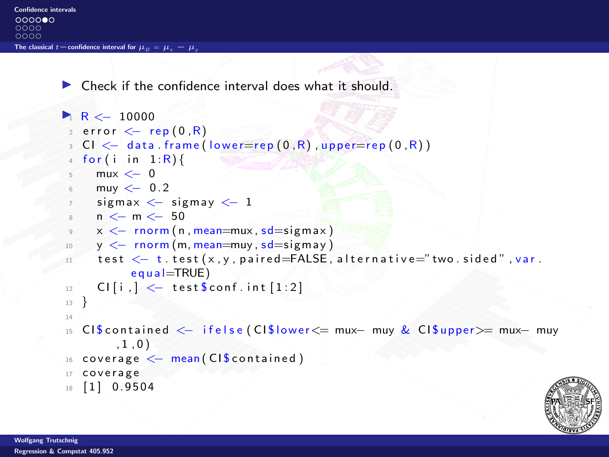$\triangleright$  Check if the confidence interval does what it should.

```
R < 100002 error \leq rep (0, R)3 CI \leq data frame (lower=rep (0, R), upper=rep (0, R))
 4 for (i in 1:R) {
 5 mux \lt-06 muy \leq -0.27 sigmax \leq sigmay \leq 1
 8 n <- m <- 50
 9 x <− rnorm ( n , mean=mux , sd=si gm ax )
 10 y < - rnorm (m, mean=muy, sd = sigmay)
11 test \leftarrow t. test (x, y, p aired=FALSE, alternative="two. sided", var.
           equal = TRUE)
12 CI [i, ] \leq test $conf. int [1:2]
13 }
14
15 CI $ c o n t a i n e d <− i f e l s e ( CI $ l o w e r<= mux− muy & CI $ uppe r>= mux− muy
        , 1, 0)16 coverage \leq mean (CIS contained)
17 coverage
18 [ 1 ] 0.9504
```
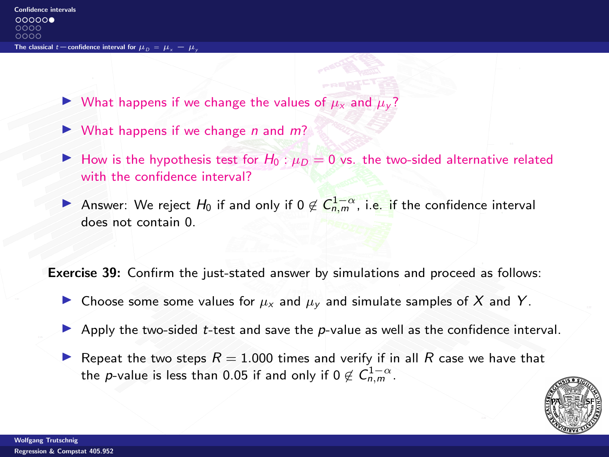- If What happens if we change the values of  $\mu_X$  and  $\mu_V$ ?
- $\triangleright$  What happens if we change *n* and *m*?
- How is the hypothesis test for  $H_0$ :  $\mu_D = 0$  vs. the two-sided alternative related with the confidence interval?
- Answer: We reject  $H_0$  if and only if  $0 \notin \mathsf{C}_{n,m}^{1-\alpha}$ , i.e. if the confidence interval does not contain 0.

Exercise 39: Confirm the just-stated answer by simulations and proceed as follows:

- If Choose some some values for  $\mu_X$  and  $\mu_Y$  and simulate samples of X and Y.
- $\triangleright$  Apply the two-sided t-test and save the p-value as well as the confidence interval.
- Repeat the two steps  $R = 1.000$  times and verify if in all R case we have that the  $p$ -value is less than 0.05 if and only if 0  $\not\in C^{1-\alpha}_{n,m}.$

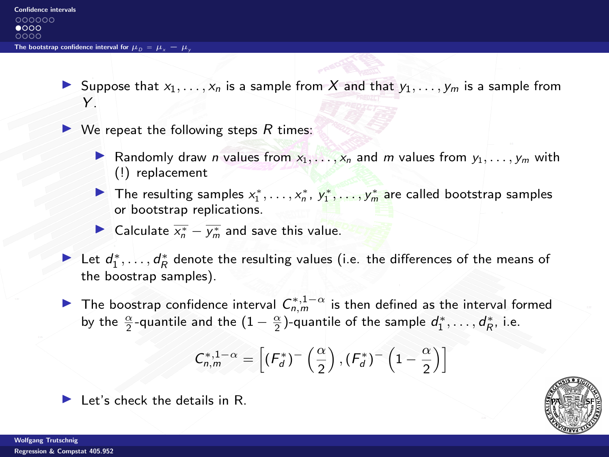<span id="page-7-0"></span>Suppose that  $x_1, \ldots, x_n$  is a sample from X and that  $y_1, \ldots, y_m$  is a sample from  $\mathsf{Y}$ 

 $\triangleright$  We repeat the following steps R times:

- **I** Randomly draw n values from  $x_1, \ldots, x_n$  and m values from  $y_1, \ldots, y_m$  with (!) replacement
- The resulting samples  $x_1^*, \ldots, x_n^*$ ,  $y_1^*, \ldots, y_m^*$  are called bootstrap samples or bootstrap replications.
- ► Calculate  $\overline{x_n^*} \overline{y_m^*}$  and save this value.
- Let  $d_1^*, \ldots, d_R^*$  denote the resulting values (i.e. the differences of the means of the boostrap samples).
- ▶ The boostrap confidence interval  $C_{n,m}^{*,1-\alpha}$  is then defined as the interval formed by the  $\frac{\alpha}{2}$ -quantile and the  $(1-\frac{\alpha}{2})$ -quantile of the sample  $d_1^*,\ldots,d_R^*$ , i.e.

$$
C_{n,m}^{*,1-\alpha} = \left[ (F_d^*)^-\left(\frac{\alpha}{2}\right), (F_d^*)^- \left(1-\frac{\alpha}{2}\right) \right]
$$



 $\blacktriangleright$  Let's check the details in R.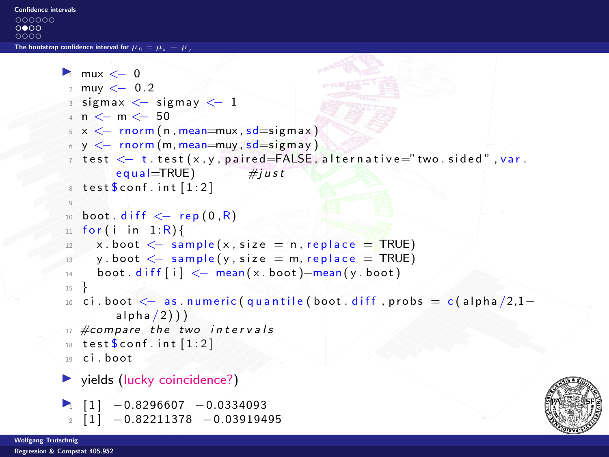```
\blacksquare mux \lt-02 muy <− 0. 2
 3 sigmax \lt sigmay \lt 1
 4 n \leq - m \leq - 50
 5 \times \leftarrow rnorm (n, mean=mux, sd=sigmax)
 6 \text{ y } \leq -\text{ rnorm (m. mean=muv. sd=sigmaav)}7 test <− t. test (x, y, paired=FALSE, alternative="two. sided", var.
             equal = TRUE) \#iusttest sconf. int [1:2]9
 _{10} boot . diff \leq rep (0, R)11 for (i in 1:R) {
 12 x. boot \leq sample (x, size = n, replace = TRUE)13 y boot \leq sample (y, size = m, replace = TRUE)
 _{14} boot diff [i] < \frac{1}{2} mean (x \cdot boot) -mean (y \cdot boot)15 }
16 ci . boot \leq as . numeric ( quantile ( boot . diff , probs = c ( alpha /2,1–
             alpha / 2))
17 #compare the two intervals
18 test \text{\$conf. int } [1:2]19 ci hoot
\blacktriangleright yields (lucky coincidence?)
\blacksquare \blacksquare \blacksquare \blacksquare \blacksquare \blacksquare \blacksquare \blacksquare \blacksquare \blacksquare \blacksquare \blacksquare \blacksquare \blacksquare \blacksquare \blacksquare \blacksquare \blacksquare \blacksquare \blacksquare \blacksquare \blacksquare \blacksquare \blacksquare \blacksquare \blacksquare \blacksquare \blacksquare \blacksquare \blacksquare \blacksquare \blacks2 [ 1 ] -0.82211378 -0.03919495
```

```
Wolfgang Trutschnig
```
[Regression & Compstat 405.952](#page-0-0)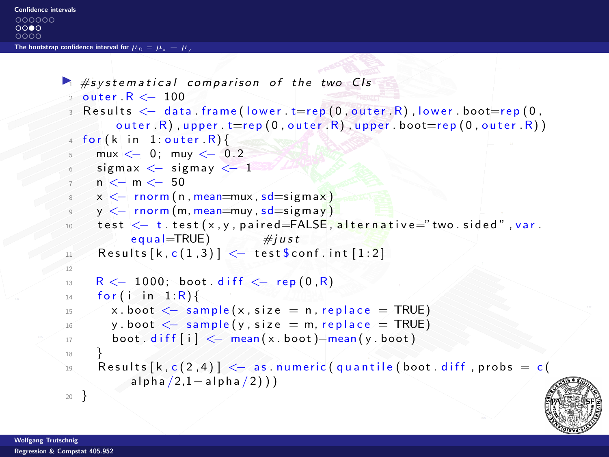```
Confidence intervals
000000
00000000The bootstrap confidence interval for \mu_{\Omega} = \mu_{\nu} - \mu
```

```
\blacktriangleright #systematical comparison of the two CIs
 2 outer R < -1003 \text{ Results} \leq \text{data frame} (lower, t=rep (0, \text{outer}, R), lower, boot=rep (0, \text{outer}, R))
         outer R), upper t = rep(0, outer, R), upper boot = rep(0, outer, R)4 for (k \text{ in } 1: outer \mathbb{R}}{
     mux < 0; muy < 0.2sigma < - sigmay <-1n < n < -50x < - rnorm (n , mean=mux, sd = signax)
 \frac{9}{9} y \leq rnorm (m. mean=muy, sd=sigmay)
10 test \leftarrow t. test (x, y, p aired=FALSE, alternative="two. sided". var.
            |e q u a | = TRUE) \#i u s t
\text{11} Results [k, c(1,3)] \leftarrow test $conf. int [1:2]
12
R < 1000; boot diff \leq r rep (0, R)14 for (i in 1:R) {
15 x.boot \leq sample (x, size = n, replace = TRUE)16 y . boot \leq sample (y, size = m, replace = TRUE)
17 boot . diff [i] \leq mean (x \cdot \text{boot}) -mean (y \cdot \text{boot})18 }
19 Results [k, c(2, 4)] \leq - as . numeric (quantile (boot . diff , probs = c
            a l p h a (2,1- a l p h a (2))
20
```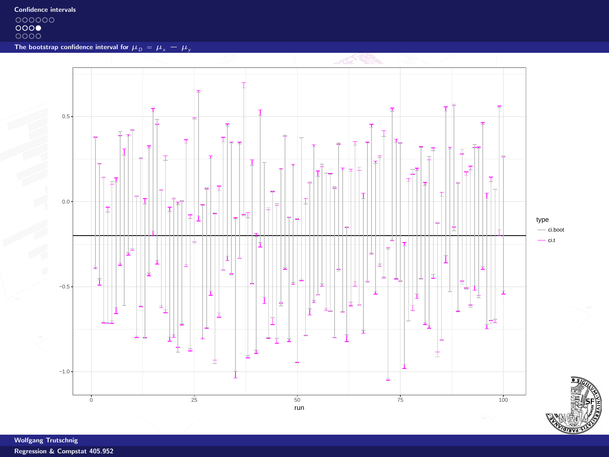[Confidence intervals](#page-1-0)<br>  $\bigcirc$  00000<br>
0000<br>
0000

[The bootstrap confidence interval for](#page-7-0)  $\mu_D = \mu_x - \mu_y$ 

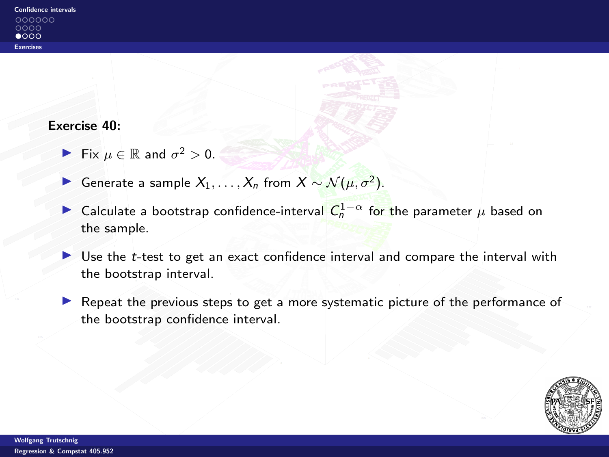#### <span id="page-11-0"></span>Exercise 40:

- Fix  $\mu \in \mathbb{R}$  and  $\sigma^2 > 0$ .
- **IF** Generate a sample  $X_1, \ldots, X_n$  from  $X \sim \mathcal{N}(\mu, \sigma^2)$ .
- ► Calculate a bootstrap confidence-interval  $C_n^{1-\alpha}$  for the parameter  $\mu$  based on the sample.
- I Use the t-test to get an exact confidence interval and compare the interval with the bootstrap interval.
- Repeat the previous steps to get a more systematic picture of the performance of the bootstrap confidence interval.

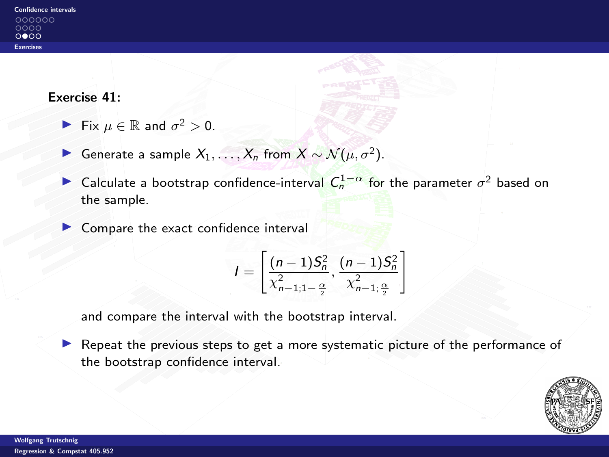#### Exercise 41:

- Fix  $\mu \in \mathbb{R}$  and  $\sigma^2 > 0$ .
- **I** Generate a sample  $X_1, ..., X_n$  from  $X \sim \mathcal{N}(\mu, \sigma^2)$ .
- ► Calculate a bootstrap confidence-interval  $C_n^{1-\alpha}$  for the parameter  $\sigma^2$  based on the sample.
- $\triangleright$  Compare the exact confidence interval

$$
I = \left[\frac{(n-1)S_n^2}{\chi_{n-1;1-\frac{\alpha}{2}}^2}, \frac{(n-1)S_n^2}{\chi_{n-1;\frac{\alpha}{2}}^2}\right]
$$

and compare the interval with the bootstrap interval.

 $\blacktriangleright$  Repeat the previous steps to get a more systematic picture of the performance of the bootstrap confidence interval.

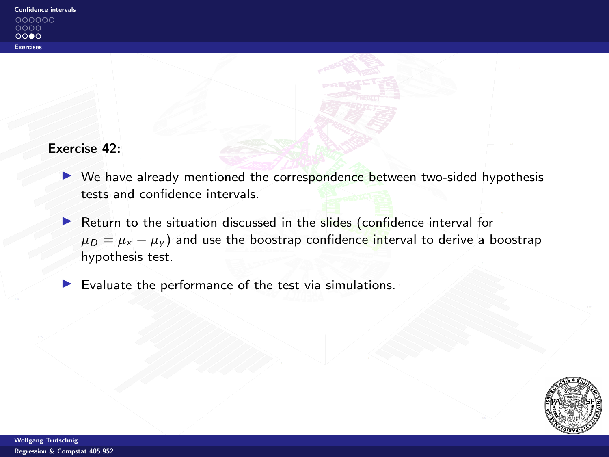### Exercise 42:

- $\triangleright$  We have already mentioned the correspondence between two-sided hypothesis tests and confidence intervals.
- Return to the situation discussed in the slides (confidence interval for  $\mu_D = \mu_x - \mu_y$  and use the boostrap confidence interval to derive a boostrap hypothesis test.
- $\blacktriangleright$  Evaluate the performance of the test via simulations.